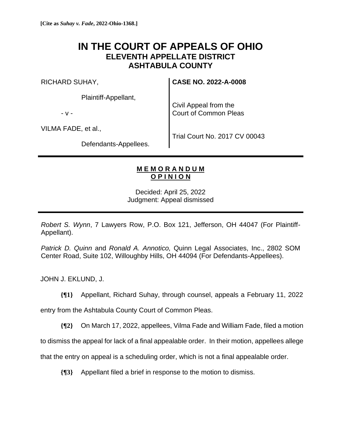## **IN THE COURT OF APPEALS OF OHIO ELEVENTH APPELLATE DISTRICT ASHTABULA COUNTY**

RICHARD SUHAY,

Plaintiff-Appellant,

- v -

Civil Appeal from the Court of Common Pleas

**CASE NO. 2022-A-0008**

VILMA FADE, et al.,

Trial Court No. 2017 CV 00043

Defendants-Appellees.

## **M E M O R A N D U M O P I N I O N**

Decided: April 25, 2022 Judgment: Appeal dismissed

*Robert S. Wynn*, 7 Lawyers Row, P.O. Box 121, Jefferson, OH 44047 (For Plaintiff-Appellant).

*Patrick D. Quinn* and *Ronald A. Annotico,* Quinn Legal Associates, Inc., 2802 SOM Center Road, Suite 102, Willoughby Hills, OH 44094 (For Defendants-Appellees).

JOHN J. EKLUND, J.

**{¶1}** Appellant, Richard Suhay, through counsel, appeals a February 11, 2022

entry from the Ashtabula County Court of Common Pleas.

**{¶2}** On March 17, 2022, appellees, Vilma Fade and William Fade, filed a motion

to dismiss the appeal for lack of a final appealable order. In their motion, appellees allege

that the entry on appeal is a scheduling order, which is not a final appealable order.

**{¶3}** Appellant filed a brief in response to the motion to dismiss.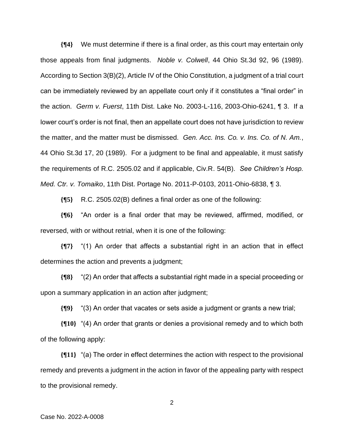**{¶4}** We must determine if there is a final order, as this court may entertain only those appeals from final judgments. *Noble v. Colwell*, 44 Ohio St.3d 92, 96 (1989). According to Section 3(B)(2), Article IV of the Ohio Constitution, a judgment of a trial court can be immediately reviewed by an appellate court only if it constitutes a "final order" in the action. *Germ v. Fuerst*, 11th Dist. Lake No. 2003-L-116, 2003-Ohio-6241, ¶ 3. If a lower court's order is not final, then an appellate court does not have jurisdiction to review the matter, and the matter must be dismissed. *Gen. Acc. Ins. Co. v. Ins. Co. of N. Am.*, 44 Ohio St.3d 17, 20 (1989). For a judgment to be final and appealable, it must satisfy the requirements of R.C. 2505.02 and if applicable, Civ.R. 54(B). *See Children's Hosp. Med. Ctr. v. Tomaiko*, 11th Dist. Portage No. 2011-P-0103, 2011-Ohio-6838, ¶ 3.

**{¶5}** R.C. 2505.02(B) defines a final order as one of the following:

**{¶6}** "An order is a final order that may be reviewed, affirmed, modified, or reversed, with or without retrial, when it is one of the following:

**{¶7}** "(1) An order that affects a substantial right in an action that in effect determines the action and prevents a judgment;

**{¶8}** "(2) An order that affects a substantial right made in a special proceeding or upon a summary application in an action after judgment;

**{¶9}** "(3) An order that vacates or sets aside a judgment or grants a new trial;

**{¶10}** "(4) An order that grants or denies a provisional remedy and to which both of the following apply:

**{¶11}** "(a) The order in effect determines the action with respect to the provisional remedy and prevents a judgment in the action in favor of the appealing party with respect to the provisional remedy.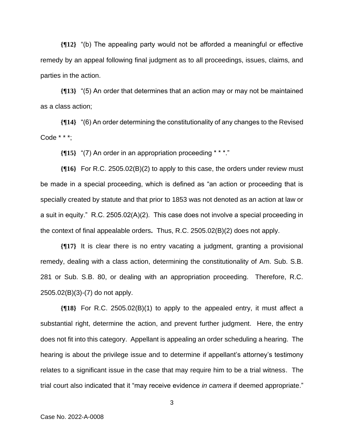**{¶12}** "(b) The appealing party would not be afforded a meaningful or effective remedy by an appeal following final judgment as to all proceedings, issues, claims, and parties in the action.

**{¶13}** "(5) An order that determines that an action may or may not be maintained as a class action;

**{¶14}** "(6) An order determining the constitutionality of any changes to the Revised Code \* \* \*;

**{¶15}** "(7) An order in an appropriation proceeding \* \* \*."

**{¶16}** For R.C. 2505.02(B)(2) to apply to this case, the orders under review must be made in a special proceeding, which is defined as "an action or proceeding that is specially created by statute and that prior to 1853 was not denoted as an action at law or a suit in equity." R.C. 2505.02(A)(2). This case does not involve a special proceeding in the context of final appealable orders**.** Thus, R.C. 2505.02(B)(2) does not apply.

**{¶17}** It is clear there is no entry vacating a judgment, granting a provisional remedy, dealing with a class action, determining the constitutionality of Am. Sub. S.B. 281 or Sub. S.B. 80, or dealing with an appropriation proceeding. Therefore, R.C. 2505.02(B)(3)-(7) do not apply.

**{¶18}** For R.C. 2505.02(B)(1) to apply to the appealed entry, it must affect a substantial right, determine the action, and prevent further judgment. Here, the entry does not fit into this category. Appellant is appealing an order scheduling a hearing. The hearing is about the privilege issue and to determine if appellant's attorney's testimony relates to a significant issue in the case that may require him to be a trial witness. The trial court also indicated that it "may receive evidence *in camera* if deemed appropriate."

3